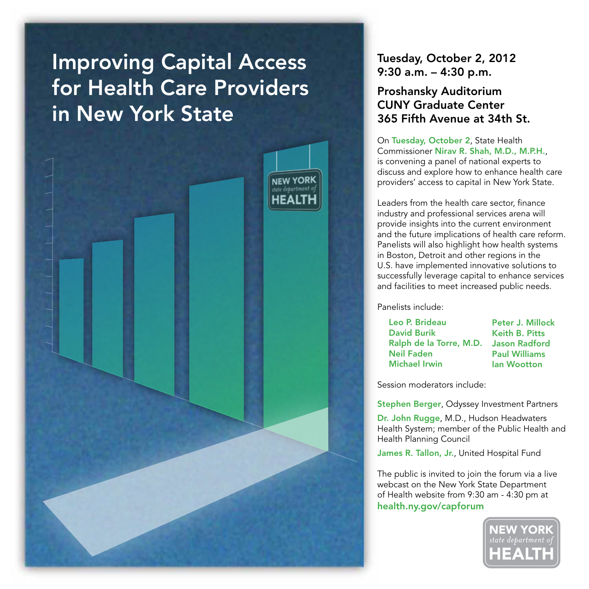# Improving Capital Access for Health Care Providers in New York State



## Tuesday, October 2, 2012 9:30 a.m. – 4:30 p.m.

## Proshansky Auditorium CUNY Graduate Center 365 Fifth Avenue at 34th St.

On Tuesday, October 2, State Health Commissioner Nirav R. Shah, M.D., M.P.H., is convening a panel of national experts to discuss and explore how to enhance health care providers' access to capital in New York State.

Leaders from the health care sector, finance industry and professional services arena will provide insights into the current environment and the future implications of health care reform. Panelists will also highlight how health systems in Boston, Detroit and other regions in the U.S. have implemented innovative solutions to successfully leverage capital to enhance services and facilities to meet increased public needs.

Panelists include:

| Leo P. Brideau          |
|-------------------------|
| <b>David Burik</b>      |
| Ralph de la Torre, M.D. |
| Neil Faden              |
| Michael Irwin           |

Peter J. Millock Keith B. Pitts Jason Radford Paul Williams Ian Wootton

Session moderators include:

Stephen Berger, Odyssey Investment Partners

Dr. John Rugge, M.D., Hudson Headwaters Health System; member of the Public Health and Health Planning Council

James R. Tallon, Jr., United Hospital Fund

The public is invited to join the forum via a live webcast on the New York State Department of Health website from 9:30 am - 4:30 pm at health.ny.gov/capforum

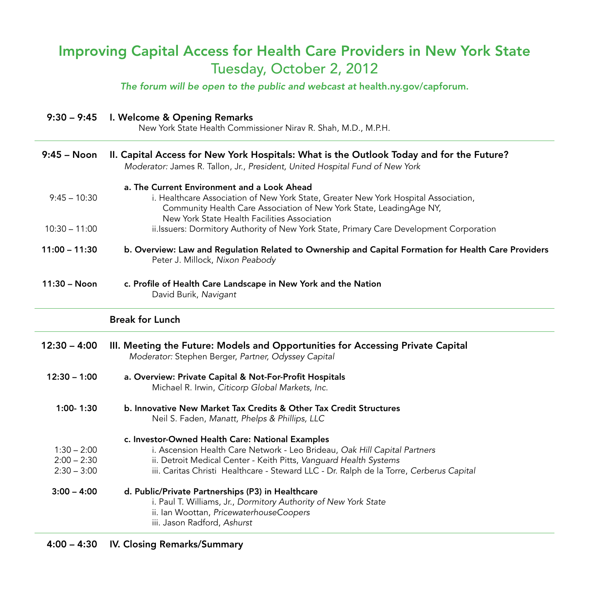## Improving Capital Access for Health Care Providers in New York State Tuesday, October 2, 2012

*The forum will be open to the public and webcast at* health.ny.gov/capforum.

| $9:30 - 9:45$                                   | I. Welcome & Opening Remarks<br>New York State Health Commissioner Nirav R. Shah, M.D., M.P.H.                                                                                                                                                                                                |
|-------------------------------------------------|-----------------------------------------------------------------------------------------------------------------------------------------------------------------------------------------------------------------------------------------------------------------------------------------------|
| $9:45 - N$ oon                                  | II. Capital Access for New York Hospitals: What is the Outlook Today and for the Future?<br>Moderator: James R. Tallon, Jr., President, United Hospital Fund of New York                                                                                                                      |
| $9:45 - 10:30$                                  | a. The Current Environment and a Look Ahead<br>i. Healthcare Association of New York State, Greater New York Hospital Association,<br>Community Health Care Association of New York State, LeadingAge NY,<br>New York State Health Facilities Association                                     |
| $10:30 - 11:00$                                 | ii.Issuers: Dormitory Authority of New York State, Primary Care Development Corporation                                                                                                                                                                                                       |
| $11:00 - 11:30$                                 | b. Overview: Law and Regulation Related to Ownership and Capital Formation for Health Care Providers<br>Peter J. Millock, Nixon Peabody                                                                                                                                                       |
| $11:30 - N$ oon                                 | c. Profile of Health Care Landscape in New York and the Nation<br>David Burik, Navigant                                                                                                                                                                                                       |
|                                                 | <b>Break for Lunch</b>                                                                                                                                                                                                                                                                        |
| $12:30 - 4:00$                                  | III. Meeting the Future: Models and Opportunities for Accessing Private Capital<br>Moderator: Stephen Berger, Partner, Odyssey Capital                                                                                                                                                        |
| $12:30 - 1:00$                                  | a. Overview: Private Capital & Not-For-Profit Hospitals<br>Michael R. Irwin, Citicorp Global Markets, Inc.                                                                                                                                                                                    |
| 1:00-1:30                                       | b. Innovative New Market Tax Credits & Other Tax Credit Structures<br>Neil S. Faden, Manatt, Phelps & Phillips, LLC                                                                                                                                                                           |
| $1:30 - 2:00$<br>$2:00 - 2:30$<br>$2:30 - 3:00$ | c. Investor-Owned Health Care: National Examples<br>i. Ascension Health Care Network - Leo Brideau, Oak Hill Capital Partners<br>ii. Detroit Medical Center - Keith Pitts, Vanguard Health Systems<br>iii. Caritas Christi Healthcare - Steward LLC - Dr. Ralph de la Torre, Cerberus Capital |
| $3:00 - 4:00$                                   | d. Public/Private Partnerships (P3) in Healthcare<br>i. Paul T. Williams, Jr., Dormitory Authority of New York State<br>ii. Ian Woottan, PricewaterhouseCoopers<br>iii. Jason Radford, Ashurst                                                                                                |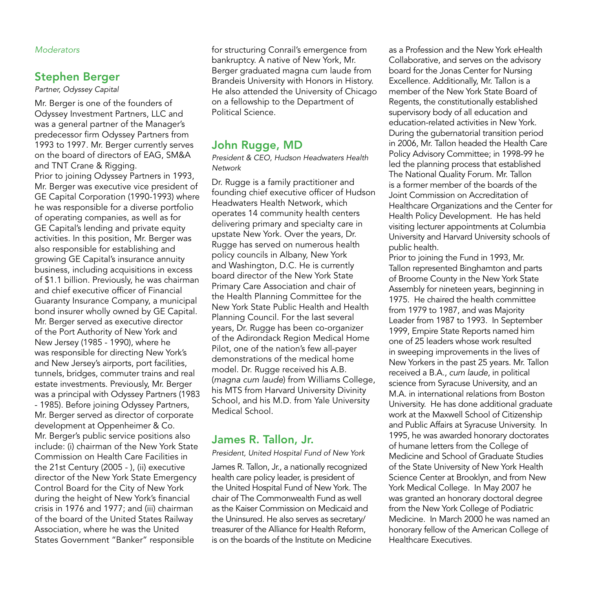#### *Moderators*

#### Stephen Berger

*Partner, Odyssey Capital*

Mr. Berger is one of the founders of Odyssey Investment Partners, LLC and was a general partner of the Manager's predecessor firm Odyssey Partners from 1993 to 1997. Mr. Berger currently serves on the board of directors of EAG, SM&A and TNT Crane & Rigging. Prior to joining Odyssey Partners in 1993, Mr. Berger was executive vice president of GE Capital Corporation (1990-1993) where he was responsible for a diverse portfolio of operating companies, as well as for GE Capital's lending and private equity activities. In this position, Mr. Berger was also responsible for establishing and growing GE Capital's insurance annuity business, including acquisitions in excess of \$1.1 billion. Previously, he was chairman and chief executive officer of Financial Guaranty Insurance Company, a municipal bond insurer wholly owned by GE Capital. Mr. Berger served as executive director of the Port Authority of New York and New Jersey (1985 - 1990), where he was responsible for directing New York's and New Jersey's airports, port facilities, tunnels, bridges, commuter trains and real estate investments. Previously, Mr. Berger was a principal with Odyssey Partners (1983 - 1985). Before joining Odyssey Partners, Mr. Berger served as director of corporate development at Oppenheimer & Co. Mr. Berger's public service positions also include: (i) chairman of the New York State Commission on Health Care Facilities in the 21st Century (2005 - ), (ii) executive director of the New York State Emergency Control Board for the City of New York during the height of New York's financial crisis in 1976 and 1977; and (iii) chairman of the board of the United States Railway Association, where he was the United States Government "Banker" responsible

for structuring Conrail's emergence from bankruptcy. A native of New York, Mr. Berger graduated magna cum laude from Brandeis University with Honors in History. He also attended the University of Chicago on a fellowship to the Department of Political Science.

#### John Rugge, MD

*President & CEO, Hudson Headwaters Health Network*

Dr. Rugge is a family practitioner and founding chief executive officer of Hudson Headwaters Health Network, which operates 14 community health centers delivering primary and specialty care in upstate New York. Over the years, Dr. Rugge has served on numerous health policy councils in Albany, New York and Washington, D.C. He is currently board director of the New York State Primary Care Association and chair of the Health Planning Committee for the New York State Public Health and Health Planning Council. For the last several years, Dr. Rugge has been co-organizer of the Adirondack Region Medical Home Pilot, one of the nation's few all-payer demonstrations of the medical home model. Dr. Rugge received his A.B. (*magna cum laude*) from Williams College, his MTS from Harvard University Divinity School, and his M.D. from Yale University Medical School.

#### James R. Tallon, Jr.

*President, United Hospital Fund of New York*

James R. Tallon, Jr., a nationally recognized health care policy leader, is president of the United Hospital Fund of New York. The chair of The Commonwealth Fund as well as the Kaiser Commission on Medicaid and the Uninsured. He also serves as secretary/ treasurer of the Alliance for Health Reform, is on the boards of the Institute on Medicine as a Profession and the New York eHealth Collaborative, and serves on the advisory board for the Jonas Center for Nursing Excellence. Additionally, Mr. Tallon is a member of the New York State Board of Regents, the constitutionally established supervisory body of all education and education-related activities in New York. During the gubernatorial transition period in 2006, Mr. Tallon headed the Health Care Policy Advisory Committee; in 1998-99 he led the planning process that established The National Quality Forum. Mr. Tallon is a former member of the boards of the Joint Commission on Accreditation of Healthcare Organizations and the Center for Health Policy Development. He has held visiting lecturer appointments at Columbia University and Harvard University schools of public health.

Prior to joining the Fund in 1993, Mr. Tallon represented Binghamton and parts of Broome County in the New York State Assembly for nineteen years, beginning in 1975. He chaired the health committee from 1979 to 1987, and was Majority Leader from 1987 to 1993. In September 1999, Empire State Reports named him one of 25 leaders whose work resulted in sweeping improvements in the lives of New Yorkers in the past 25 years. Mr. Tallon received a B.A., *cum laude*, in political science from Syracuse University, and an M.A. in international relations from Boston University. He has done additional graduate work at the Maxwell School of Citizenship and Public Affairs at Syracuse University. In 1995, he was awarded honorary doctorates of humane letters from the College of Medicine and School of Graduate Studies of the State University of New York Health Science Center at Brooklyn, and from New York Medical College. In May 2007 he was granted an honorary doctoral degree from the New York College of Podiatric Medicine. In March 2000 he was named an honorary fellow of the American College of Healthcare Executives.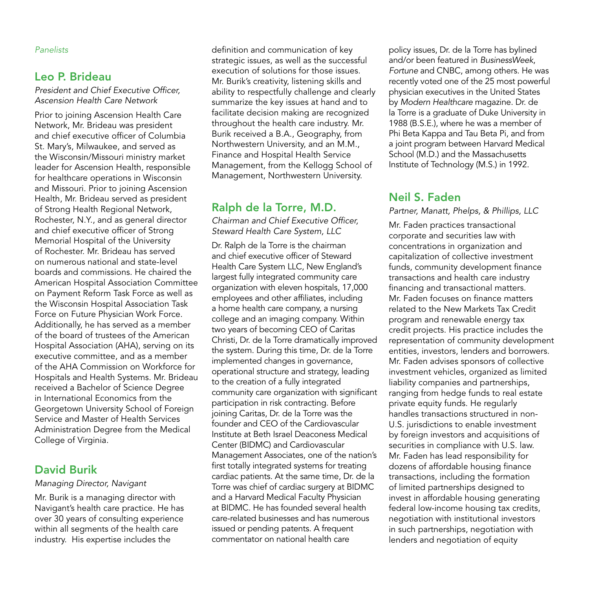#### *Panelists*

#### Leo P. Brideau

*President and Chief Executive Officer, Ascension Health Care Network*

Prior to joining Ascension Health Care Network, Mr. Brideau was president and chief executive officer of Columbia St. Mary's, Milwaukee, and served as the Wisconsin/Missouri ministry market leader for Ascension Health, responsible for healthcare operations in Wisconsin and Missouri. Prior to joining Ascension Health, Mr. Brideau served as president of Strong Health Regional Network, Rochester, N.Y., and as general director and chief executive officer of Strong Memorial Hospital of the University of Rochester. Mr. Brideau has served on numerous national and state-level boards and commissions. He chaired the American Hospital Association Committee on Payment Reform Task Force as well as the Wisconsin Hospital Association Task Force on Future Physician Work Force. Additionally, he has served as a member of the board of trustees of the American Hospital Association (AHA), serving on its executive committee, and as a member of the AHA Commission on Workforce for Hospitals and Health Systems. Mr. Brideau received a Bachelor of Science Degree in International Economics from the Georgetown University School of Foreign Service and Master of Health Services Administration Degree from the Medical College of Virginia.

#### David Burik

#### *Managing Director, Navigant*

Mr. Burik is a managing director with Navigant's health care practice. He has over 30 years of consulting experience within all segments of the health care industry. His expertise includes the

definition and communication of key strategic issues, as well as the successful execution of solutions for those issues. Mr. Burik's creativity, listening skills and ability to respectfully challenge and clearly summarize the key issues at hand and to facilitate decision making are recognized throughout the health care industry. Mr. Burik received a B.A., Geography, from Northwestern University, and an M.M., Finance and Hospital Health Service Management, from the Kellogg School of Management, Northwestern University.

### Ralph de la Torre, M.D.

*Chairman and Chief Executive Officer, Steward Health Care System, LLC*

Dr. Ralph de la Torre is the chairman and chief executive officer of Steward Health Care System LLC, New England's largest fully integrated community care organization with eleven hospitals, 17,000 employees and other affiliates, including a home health care company, a nursing college and an imaging company. Within two years of becoming CEO of Caritas Christi, Dr. de la Torre dramatically improved the system. During this time, Dr. de la Torre implemented changes in governance, operational structure and strategy, leading to the creation of a fully integrated community care organization with significant participation in risk contracting. Before joining Caritas, Dr. de la Torre was the founder and CEO of the Cardiovascular Institute at Beth Israel Deaconess Medical Center (BIDMC) and Cardiovascular Management Associates, one of the nation's first totally integrated systems for treating cardiac patients. At the same time, Dr. de la Torre was chief of cardiac surgery at BIDMC and a Harvard Medical Faculty Physician at BIDMC. He has founded several health care-related businesses and has numerous issued or pending patents. A frequent commentator on national health care

policy issues, Dr. de la Torre has bylined and/or been featured in *BusinessWeek*, *Fortune* and CNBC, among others. He was recently voted one of the 25 most powerful physician executives in the United States by *Modern Healthcare* magazine. Dr. de la Torre is a graduate of Duke University in 1988 (B.S.E.), where he was a member of Phi Beta Kappa and Tau Beta Pi, and from a joint program between Harvard Medical School (M.D.) and the Massachusetts Institute of Technology (M.S.) in 1992.

#### Neil S. Faden

*Partner, Manatt, Phelps, & Phillips, LLC*

Mr. Faden practices transactional corporate and securities law with concentrations in organization and capitalization of collective investment funds, community development finance transactions and health care industry financing and transactional matters. Mr. Faden focuses on finance matters related to the New Markets Tax Credit program and renewable energy tax credit projects. His practice includes the representation of community development entities, investors, lenders and borrowers. Mr. Faden advises sponsors of collective investment vehicles, organized as limited liability companies and partnerships, ranging from hedge funds to real estate private equity funds. He regularly handles transactions structured in non-U.S. jurisdictions to enable investment by foreign investors and acquisitions of securities in compliance with U.S. law. Mr. Faden has lead responsibility for dozens of affordable housing finance transactions, including the formation of limited partnerships designed to invest in affordable housing generating federal low-income housing tax credits, negotiation with institutional investors in such partnerships, negotiation with lenders and negotiation of equity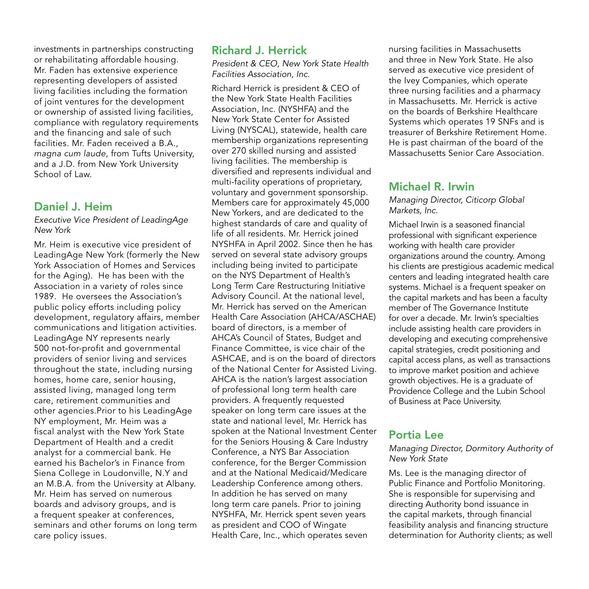investments in partnerships constructing or rehabilitating affordable housing. Mr. Faden has extensive experience representing developers of assisted living facilities including the formation of joint ventures for the development or ownership of assisted living facilities, compliance with regulatory requirements and the financing and sale of such facilities. Mr. Faden received a B.A., *magna cum laude*, from Tufts University, and a J.D. from New York University School of Law.

#### Daniel J. Heim

*Executive Vice President of LeadingAge New York*

Mr. Heim is executive vice president of LeadingAge New York (formerly the New York Association of Homes and Services for the Aging). He has been with the Association in a variety of roles since 1989. He oversees the Association's public policy efforts including policy development, regulatory affairs, member communications and litigation activities. LeadingAge NY represents nearly 500 not-for-profit and governmental providers of senior living and services throughout the state, including nursing homes, home care, senior housing, assisted living, managed long term care, retirement communities and other agencies.Prior to his LeadingAge NY employment, Mr. Heim was a fiscal analyst with the New York State Department of Health and a credit analyst for a commercial bank. He earned his Bachelor's in Finance from Siena College in Loudonville, N.Y and an M.B.A. from the University at Albany. Mr. Heim has served on numerous boards and advisory groups, and is a frequent speaker at conferences, seminars and other forums on long term care policy issues.

#### Richard J. Herrick

*President & CEO, New York State Health Facilities Association, Inc.*

Richard Herrick is president & CEO of the New York State Health Facilities Association, Inc. (NYSHFA) and the New York State Center for Assisted Living (NYSCAL), statewide, health care membership organizations representing over 270 skilled nursing and assisted living facilities. The membership is diversified and represents individual and multi-facility operations of proprietary, voluntary and government sponsorship. Members care for approximately 45,000 New Yorkers, and are dedicated to the highest standards of care and quality of life of all residents. Mr. Herrick joined NYSHFA in April 2002. Since then he has served on several state advisory groups including being invited to participate on the NYS Department of Health's Long Term Care Restructuring Initiative Advisory Council. At the national level, Mr. Herrick has served on the American Health Care Association (AHCA/ASCHAE) board of directors, is a member of AHCA's Council of States, Budget and Finance Committee, is vice chair of the ASHCAE, and is on the board of directors of the National Center for Assisted Living. AHCA is the nation's largest association of professional long term health care providers. A frequently requested speaker on long term care issues at the state and national level, Mr. Herrick has spoken at the National Investment Center for the Seniors Housing & Care Industry Conference, a NYS Bar Association conference, for the Berger Commission and at the National Medicaid/Medicare Leadership Conference among others. In addition he has served on many long term care panels. Prior to joining NYSHFA, Mr. Herrick spent seven years as president and COO of Wingate Health Care, Inc., which operates seven

nursing facilities in Massachusetts and three in New York State. He also served as executive vice president of the Ivey Companies, which operate three nursing facilities and a pharmacy in Massachusetts. Mr. Herrick is active on the boards of Berkshire Healthcare Systems which operates 19 SNFs and is treasurer of Berkshire Retirement Home. He is past chairman of the board of the Massachusetts Senior Care Association.

#### Michael R. Irwin

*Managing Director, Citicorp Global Markets, Inc.*

Michael Irwin is a seasoned financial professional with significant experience working with health care provider organizations around the country. Among his clients are prestigious academic medical centers and leading integrated health care systems. Michael is a frequent speaker on the capital markets and has been a faculty member of The Governance Institute for over a decade. Mr. Irwin's specialties include assisting health care providers in developing and executing comprehensive capital strategies, credit positioning and capital access plans, as well as transactions to improve market position and achieve growth objectives. He is a graduate of Providence College and the Lubin School of Business at Pace University.

## Portia Lee

#### *Managing Director, Dormitory Authority of New York State*

Ms. Lee is the managing director of Public Finance and Portfolio Monitoring. She is responsible for supervising and directing Authority bond issuance in the capital markets, through financial feasibility analysis and financing structure determination for Authority clients; as well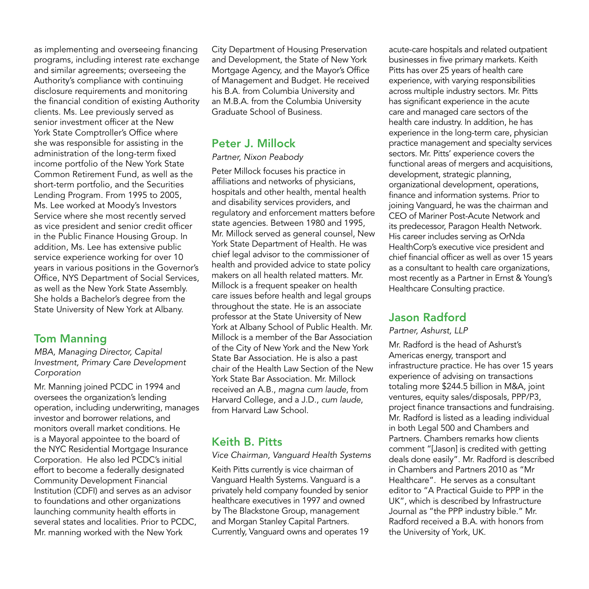as implementing and overseeing financing programs, including interest rate exchange and similar agreements; overseeing the Authority's compliance with continuing disclosure requirements and monitoring the financial condition of existing Authority clients. Ms. Lee previously served as senior investment officer at the New York State Comptroller's Office where she was responsible for assisting in the administration of the long-term fixed income portfolio of the New York State Common Retirement Fund, as well as the short-term portfolio, and the Securities Lending Program. From 1995 to 2005, Ms. Lee worked at Moody's Investors Service where she most recently served as vice president and senior credit officer in the Public Finance Housing Group. In addition, Ms. Lee has extensive public service experience working for over 10 years in various positions in the Governor's Office, NYS Department of Social Services, as well as the New York State Assembly. She holds a Bachelor's degree from the State University of New York at Albany.

#### Tom Manning

*MBA, Managing Director, Capital Investment, Primary Care Development Corporation*

Mr. Manning joined PCDC in 1994 and oversees the organization's lending operation, including underwriting, manages investor and borrower relations, and monitors overall market conditions. He is a Mayoral appointee to the board of the NYC Residential Mortgage Insurance Corporation. He also led PCDC's initial effort to become a federally designated Community Development Financial Institution (CDFI) and serves as an advisor to foundations and other organizations launching community health efforts in several states and localities. Prior to PCDC, Mr. manning worked with the New York

City Department of Housing Preservation and Development, the State of New York Mortgage Agency, and the Mayor's Office of Management and Budget. He received his B.A. from Columbia University and an M.B.A. from the Columbia University Graduate School of Business.

#### Peter J. Millock

#### *Partner, Nixon Peabody*

Peter Millock focuses his practice in affiliations and networks of physicians, hospitals and other health, mental health and disability services providers, and regulatory and enforcement matters before state agencies. Between 1980 and 1995, Mr. Millock served as general counsel, New York State Department of Health. He was chief legal advisor to the commissioner of health and provided advice to state policy makers on all health related matters. Mr. Millock is a frequent speaker on health care issues before health and legal groups throughout the state. He is an associate professor at the State University of New York at Albany School of Public Health. Mr. Millock is a member of the Bar Association of the City of New York and the New York State Bar Association. He is also a past chair of the Health Law Section of the New York State Bar Association. Mr. Millock received an A.B., *magna cum laude*, from Harvard College, and a J.D., *cum laude*, from Harvard Law School.

#### Keith B. Pitts

*Vice Chairman, Vanguard Health Systems* Keith Pitts currently is vice chairman of Vanguard Health Systems. Vanguard is a privately held company founded by senior healthcare executives in 1997 and owned by The Blackstone Group, management and Morgan Stanley Capital Partners. Currently, Vanguard owns and operates 19

acute-care hospitals and related outpatient businesses in five primary markets. Keith Pitts has over 25 years of health care experience, with varying responsibilities across multiple industry sectors. Mr. Pitts has significant experience in the acute care and managed care sectors of the health care industry. In addition, he has experience in the long-term care, physician practice management and specialty services sectors. Mr. Pitts' experience covers the functional areas of mergers and acquisitions, development, strategic planning, organizational development, operations, finance and information systems. Prior to joining Vanguard, he was the chairman and CEO of Mariner Post-Acute Network and its predecessor, Paragon Health Network. His career includes serving as OrNda HealthCorp's executive vice president and chief financial officer as well as over 15 years as a consultant to health care organizations, most recently as a Partner in Ernst & Young's Healthcare Consulting practice.

## Jason Radford

#### *Partner, Ashurst, LLP*

Mr. Radford is the head of Ashurst's Americas energy, transport and infrastructure practice. He has over 15 years experience of advising on transactions totaling more \$244.5 billion in M&A, joint ventures, equity sales/disposals, PPP/P3, project finance transactions and fundraising. Mr. Radford is listed as a leading individual in both Legal 500 and Chambers and Partners. Chambers remarks how clients comment "[Jason] is credited with getting deals done easily". Mr. Radford is described in Chambers and Partners 2010 as "Mr Healthcare". He serves as a consultant editor to "A Practical Guide to PPP in the UK", which is described by Infrastructure Journal as "the PPP industry bible." Mr. Radford received a B.A. with honors from the University of York, UK.